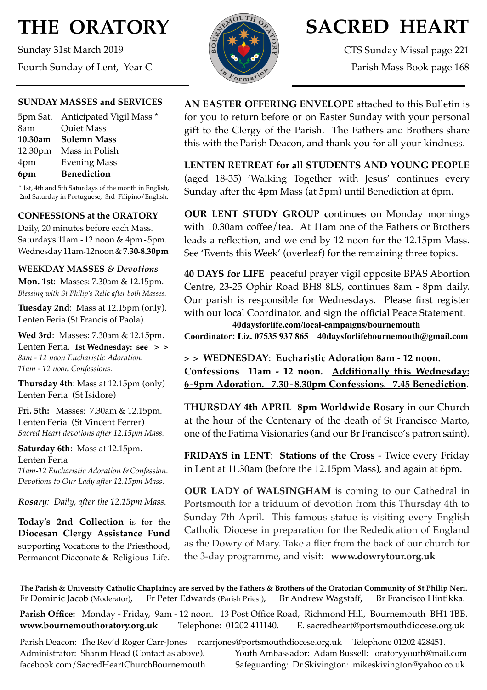# **THE ORATORY**

Sunday 31st March 2019 Fourth Sunday of Lent, Year C

#### **SUNDAY MASSES and SERVICES**

| 5pm Sat. Anticipated Vigil Mass * |
|-----------------------------------|
| <b>Quiet Mass</b>                 |
| 10.30am - Solemn Mass             |
| 12.30pm Mass in Polish            |
| <b>Evening Mass</b>               |
| <b>Benediction</b>                |
|                                   |

\* 1st, 4th and 5th Saturdays of the month in English, 2nd Saturday in Portuguese, 3rd Filipino/English.

#### **CONFESSIONS at the ORATORY**

Daily, 20 minutes before each Mass. Saturdays 11am - 12 noon & 4pm- 5pm. Wednesday 11am-12noon&**7.30-8.30pm**

#### **WEEKDAY MASSES** *& Devotions*

**Mon. 1st**: Masses: 7.30am & 12.15pm. *Blessing with St Philip's Relic after both Masses.*

**Tuesday 2nd**: Mass at 12.15pm (only). Lenten Feria (St Francis of Paola).

**Wed 3rd**: Masses: 7.30am & 12.15pm. Lenten Feria. **1st Wednesday: see > >**  *8am - 12 noon Eucharistic Adoration. 11am - 12 noon Confessions.*

**Thursday 4th**: Mass at 12.15pm (only) Lenten Feria (St Isidore)

**Fri. 5th:** Masses: 7.30am & 12.15pm. Lenten Feria (St Vincent Ferrer) *Sacred Heart devotions after 12.15pm Mass.*

**Saturday 6th**: Mass at 12.15pm. Lenten Feria *11am-12 Eucharistic Adoration & Confession. Devotions to Our Lady after 12.15pm Mass.*

*Rosary: Daily, after the 12.15pm Mass*.

**Today's 2nd Collection** is for the **Diocesan Clergy Assistance Fund** supporting Vocations to the Priesthood, Permanent Diaconate & Religious Life.



## **SACRED HEART**

CTS Sunday Missal page 221 Parish Mass Book page 168

**AN EASTER OFFERING ENVELOPE** attached to this Bulletin is for you to return before or on Easter Sunday with your personal gift to the Clergy of the Parish. The Fathers and Brothers share this with the Parish Deacon, and thank you for all your kindness.

**LENTEN RETREAT for all STUDENTS AND YOUNG PEOPLE**  (aged 18-35) 'Walking Together with Jesus' continues every Sunday after the 4pm Mass (at 5pm) until Benediction at 6pm.

**OUR LENT STUDY GROUP c**ontinues on Monday mornings with 10.30am coffee/tea. At 11am one of the Fathers or Brothers leads a reflection, and we end by 12 noon for the 12.15pm Mass. See 'Events this Week' (overleaf) for the remaining three topics.

**40 DAYS for LIFE** peaceful prayer vigil opposite BPAS Abortion Centre, 23-25 Ophir Road BH8 8LS, continues 8am - 8pm daily. Our parish is responsible for Wednesdays. Please first register with our local Coordinator, and sign the official Peace Statement. **40daysforlife.com/local-campaigns/bournemouth** 

**Coordinator: Liz. 07535 937 865 40daysforlifebournemouth@gmail.com** 

**> > WEDNESDAY**: **Eucharistic Adoration 8am - 12 noon. Confessions 11am - 12 noon. Additionally this Wednesday: 6-9pm Adoration. 7.30 - 8.30pm Confessions. 7.45 Benediction.**

**THURSDAY 4th APRIL 8pm Worldwide Rosary** in our Church at the hour of the Centenary of the death of St Francisco Marto, one of the Fatima Visionaries (and our Br Francisco's patron saint).

**FRIDAYS in LENT**: **Stations of the Cross** - Twice every Friday in Lent at 11.30am (before the 12.15pm Mass), and again at 6pm.

**OUR LADY of WALSINGHAM** is coming to our Cathedral in Portsmouth for a triduum of devotion from this Thursday 4th to Sunday 7th April. This famous statue is visiting every English Catholic Diocese in preparation for the Rededication of England as the Dowry of Mary. Take a flier from the back of our church for the 3-day programme, and visit: **[www.dowrytour.org.uk](http://www.dowrytour.org.uk)**

**The Parish & University Catholic Chaplaincy are served by the Fathers & Brothers of the Oratorian Community of St Philip Neri.** Fr Dominic Jacob (Moderator), Fr Peter Edwards (Parish Priest), Br Andrew Wagstaff, Br Francisco Hintikka.

**Parish Office:** Monday - Friday, 9am - 12 noon. 13 Post Office Road, Richmond Hill, Bournemouth BH1 1BB. **[www.bournemouthoratory.org.uk](http://www.bournemoithoratory.org.uk)** Telephone: 01202 411140. E. [sacredheart@portsmouthdiocese.org.uk](mailto:sacredheart@portsmouthdiocese.org.uk)

Parish Deacon: The Rev'd Roger Carr-Jones [rcarrjones@portsmouthdiocese.org.uk](mailto:rcarrjones@portsmouthdiocese.org.uk) Telephone 01202 428451. Administrator: Sharon Head (Contact as above). Youth Ambassador: Adam Bussell: [oratoryyouth@mail.com](http://oratoryyouth.mail.com) [facebook.com/SacredHeartChurchBournemouth](http://facebook.com/SaccredHeartChurchBournemouth) Safeguarding: Dr Skivington: mikeskivington@yahoo.co.uk